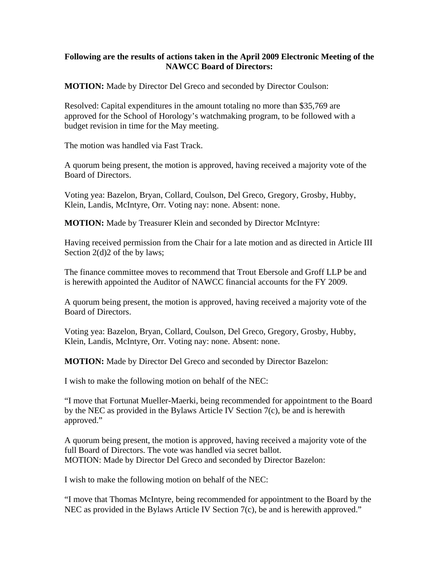## **Following are the results of actions taken in the April 2009 Electronic Meeting of the NAWCC Board of Directors:**

**MOTION:** Made by Director Del Greco and seconded by Director Coulson:

Resolved: Capital expenditures in the amount totaling no more than \$35,769 are approved for the School of Horology's watchmaking program, to be followed with a budget revision in time for the May meeting.

The motion was handled via Fast Track.

A quorum being present, the motion is approved, having received a majority vote of the Board of Directors.

Voting yea: Bazelon, Bryan, Collard, Coulson, Del Greco, Gregory, Grosby, Hubby, Klein, Landis, McIntyre, Orr. Voting nay: none. Absent: none.

**MOTION:** Made by Treasurer Klein and seconded by Director McIntyre:

Having received permission from the Chair for a late motion and as directed in Article III Section 2(d) 2 of the by laws;

The finance committee moves to recommend that Trout Ebersole and Groff LLP be and is herewith appointed the Auditor of NAWCC financial accounts for the FY 2009.

A quorum being present, the motion is approved, having received a majority vote of the Board of Directors.

Voting yea: Bazelon, Bryan, Collard, Coulson, Del Greco, Gregory, Grosby, Hubby, Klein, Landis, McIntyre, Orr. Voting nay: none. Absent: none.

**MOTION:** Made by Director Del Greco and seconded by Director Bazelon:

I wish to make the following motion on behalf of the NEC:

"I move that Fortunat Mueller-Maerki, being recommended for appointment to the Board by the NEC as provided in the Bylaws Article IV Section 7(c), be and is herewith approved."

A quorum being present, the motion is approved, having received a majority vote of the full Board of Directors. The vote was handled via secret ballot. MOTION: Made by Director Del Greco and seconded by Director Bazelon:

I wish to make the following motion on behalf of the NEC:

"I move that Thomas McIntyre, being recommended for appointment to the Board by the NEC as provided in the Bylaws Article IV Section 7(c), be and is herewith approved."